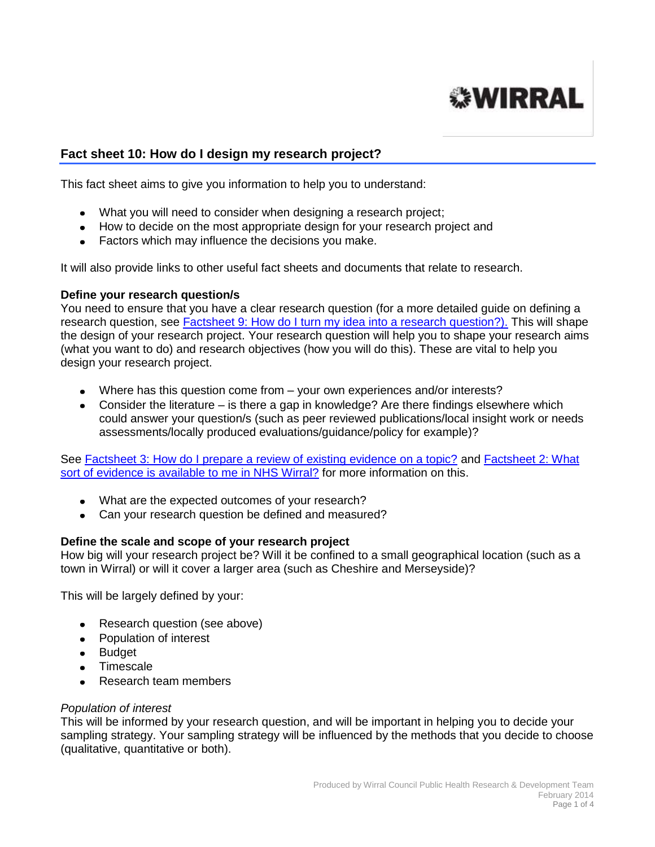

# **Fact sheet 10: How do I design my research project?**

This fact sheet aims to give you information to help you to understand:

- What you will need to consider when designing a research project;
- How to decide on the most appropriate design for your research project and
- Factors which may influence the decisions you make.

It will also provide links to other useful fact sheets and documents that relate to research.

#### **Define your research question/s**

You need to ensure that you have a clear research question (for a more detailed guide on defining a research question, see [Factsheet 9: How do I turn my idea into a research question?\).](http://info.wirral.nhs.uk/intelligencehub/howtofact-sheetsonevidence&research.html) This will shape the design of your research project. Your research question will help you to shape your research aims (what you want to do) and research objectives (how you will do this). These are vital to help you design your research project.

- Where has this question come from your own experiences and/or interests?
- Consider the literature is there a gap in knowledge? Are there findings elsewhere which could answer your question/s (such as peer reviewed publications/local insight work or needs assessments/locally produced evaluations/guidance/policy for example)?

See [Factsheet 3: How do I prepare a review of existing evidence on a topic?](http://info.wirral.nhs.uk/intelligencehub/howtofact-sheetsonevidence&research.html) and Factsheet 2: What [sort of evidence is available to me in NHS Wirral?](http://info.wirral.nhs.uk/intelligencehub/howtofact-sheetsonevidence&research.html) for more information on this.

- What are the expected outcomes of your research?
- Can your research question be defined and measured?

## **Define the scale and scope of your research project**

How big will your research project be? Will it be confined to a small geographical location (such as a town in Wirral) or will it cover a larger area (such as Cheshire and Merseyside)?

This will be largely defined by your:

- Research question (see above)
- Population of interest
- Budget
- Timescale
- Research team members

#### *Population of interest*

This will be informed by your research question, and will be important in helping you to decide your sampling strategy. Your sampling strategy will be influenced by the methods that you decide to choose (qualitative, quantitative or both).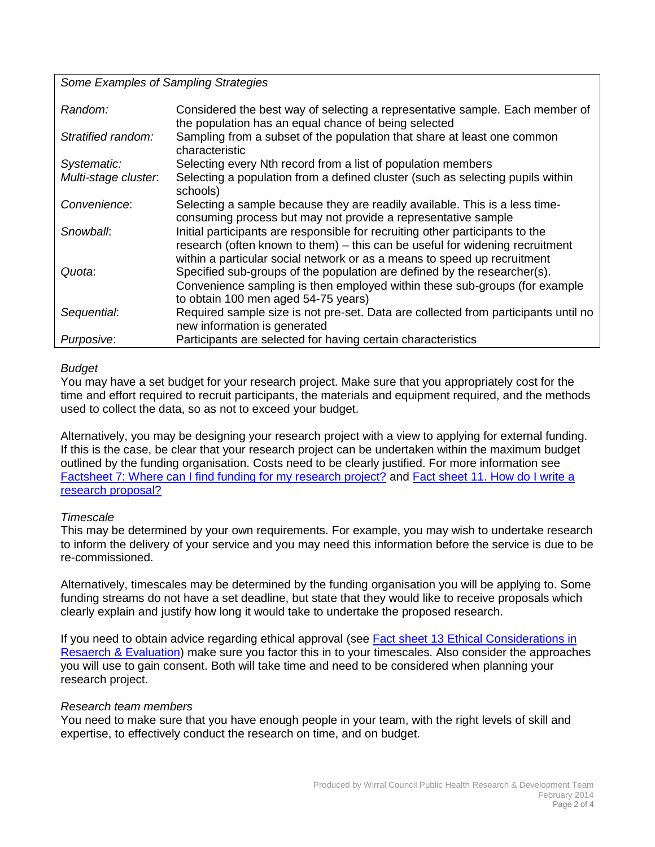*Some Examples of Sampling Strategies*

| Random:              | Considered the best way of selecting a representative sample. Each member of<br>the population has an equal chance of being selected                     |
|----------------------|----------------------------------------------------------------------------------------------------------------------------------------------------------|
| Stratified random:   | Sampling from a subset of the population that share at least one common<br>characteristic                                                                |
| Systematic:          | Selecting every Nth record from a list of population members                                                                                             |
| Multi-stage cluster. | Selecting a population from a defined cluster (such as selecting pupils within<br>schools)                                                               |
| Convenience:         | Selecting a sample because they are readily available. This is a less time-<br>consuming process but may not provide a representative sample             |
| Snowball:            | Initial participants are responsible for recruiting other participants to the                                                                            |
|                      | research (often known to them) - this can be useful for widening recruitment<br>within a particular social network or as a means to speed up recruitment |
| Quota:               | Specified sub-groups of the population are defined by the researcher(s).<br>Convenience sampling is then employed within these sub-groups (for example   |
|                      | to obtain 100 men aged 54-75 years)                                                                                                                      |
| Sequential:          | Required sample size is not pre-set. Data are collected from participants until no                                                                       |
|                      | new information is generated                                                                                                                             |
| Purposive:           | Participants are selected for having certain characteristics                                                                                             |

## *Budget*

You may have a set budget for your research project. Make sure that you appropriately cost for the time and effort required to recruit participants, the materials and equipment required, and the methods used to collect the data, so as not to exceed your budget.

Alternatively, you may be designing your research project with a view to applying for external funding. If this is the case, be clear that your research project can be undertaken within the maximum budget outlined by the funding organisation. Costs need to be clearly justified. For more information see [Factsheet 7: Where can I find funding for my research project?](http://info.wirral.nhs.uk/intelligencehub/howtofact-sheetsonevidence&research.html) and Fact [sheet 11. How do I write a](http://info.wirral.nhs.uk/intelligencehub/howtofact-sheetsonevidence&research.html)  [research proposal?](http://info.wirral.nhs.uk/intelligencehub/howtofact-sheetsonevidence&research.html)

# *Timescale*

This may be determined by your own requirements. For example, you may wish to undertake research to inform the delivery of your service and you may need this information before the service is due to be re-commissioned.

Alternatively, timescales may be determined by the funding organisation you will be applying to. Some funding streams do not have a set deadline, but state that they would like to receive proposals which clearly explain and justify how long it would take to undertake the proposed research.

If you need to obtain advice regarding ethical approval (see [Fact sheet 13 Ethical Considerations in](http://info.wirral.nhs.uk/intelligencehub/howtofact-sheetsonevidence&research.html)  [Resaerch & Evaluation\)](http://info.wirral.nhs.uk/intelligencehub/howtofact-sheetsonevidence&research.html) make sure you factor this in to your timescales. Also consider the approaches you will use to gain consent. Both will take time and need to be considered when planning your research project.

## *Research team members*

You need to make sure that you have enough people in your team, with the right levels of skill and expertise, to effectively conduct the research on time, and on budget.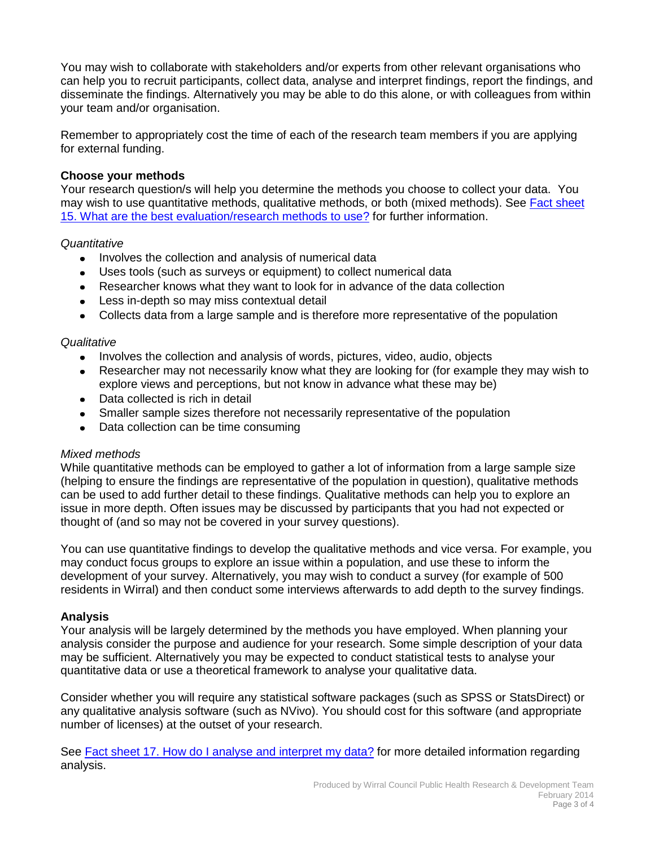You may wish to collaborate with stakeholders and/or experts from other relevant organisations who can help you to recruit participants, collect data, analyse and interpret findings, report the findings, and disseminate the findings. Alternatively you may be able to do this alone, or with colleagues from within your team and/or organisation.

Remember to appropriately cost the time of each of the research team members if you are applying for external funding.

## **Choose your methods**

Your research question/s will help you determine the methods you choose to collect your data. You may wish to use quantitative methods, qualitative methods, or both (mixed methods). See Fact [sheet](http://info.wirral.nhs.uk/intelligencehub/howtofact-sheetsonevidence&research.html)  [15. What are the best evaluation/research methods to use?](http://info.wirral.nhs.uk/intelligencehub/howtofact-sheetsonevidence&research.html) for further information.

#### *Quantitative*

- Involves the collection and analysis of numerical data
- Uses tools (such as surveys or equipment) to collect numerical data
- Researcher knows what they want to look for in advance of the data collection
- Less in-depth so may miss contextual detail
- Collects data from a large sample and is therefore more representative of the population

#### *Qualitative*

- Involves the collection and analysis of words, pictures, video, audio, objects
- Researcher may not necessarily know what they are looking for (for example they may wish to explore views and perceptions, but not know in advance what these may be)
- Data collected is rich in detail
- Smaller sample sizes therefore not necessarily representative of the population
- Data collection can be time consuming

#### *Mixed methods*

While quantitative methods can be employed to gather a lot of information from a large sample size (helping to ensure the findings are representative of the population in question), qualitative methods can be used to add further detail to these findings. Qualitative methods can help you to explore an issue in more depth. Often issues may be discussed by participants that you had not expected or thought of (and so may not be covered in your survey questions).

You can use quantitative findings to develop the qualitative methods and vice versa. For example, you may conduct focus groups to explore an issue within a population, and use these to inform the development of your survey. Alternatively, you may wish to conduct a survey (for example of 500 residents in Wirral) and then conduct some interviews afterwards to add depth to the survey findings.

## **Analysis**

Your analysis will be largely determined by the methods you have employed. When planning your analysis consider the purpose and audience for your research. Some simple description of your data may be sufficient. Alternatively you may be expected to conduct statistical tests to analyse your quantitative data or use a theoretical framework to analyse your qualitative data.

Consider whether you will require any statistical software packages (such as SPSS or StatsDirect) or any qualitative analysis software (such as NVivo). You should cost for this software (and appropriate number of licenses) at the outset of your research.

See Fact [sheet 17. How do I analyse and interpret my data?](http://info.wirral.nhs.uk/intelligencehub/howtofact-sheetsonevidence&research.html) for more detailed information regarding analysis.